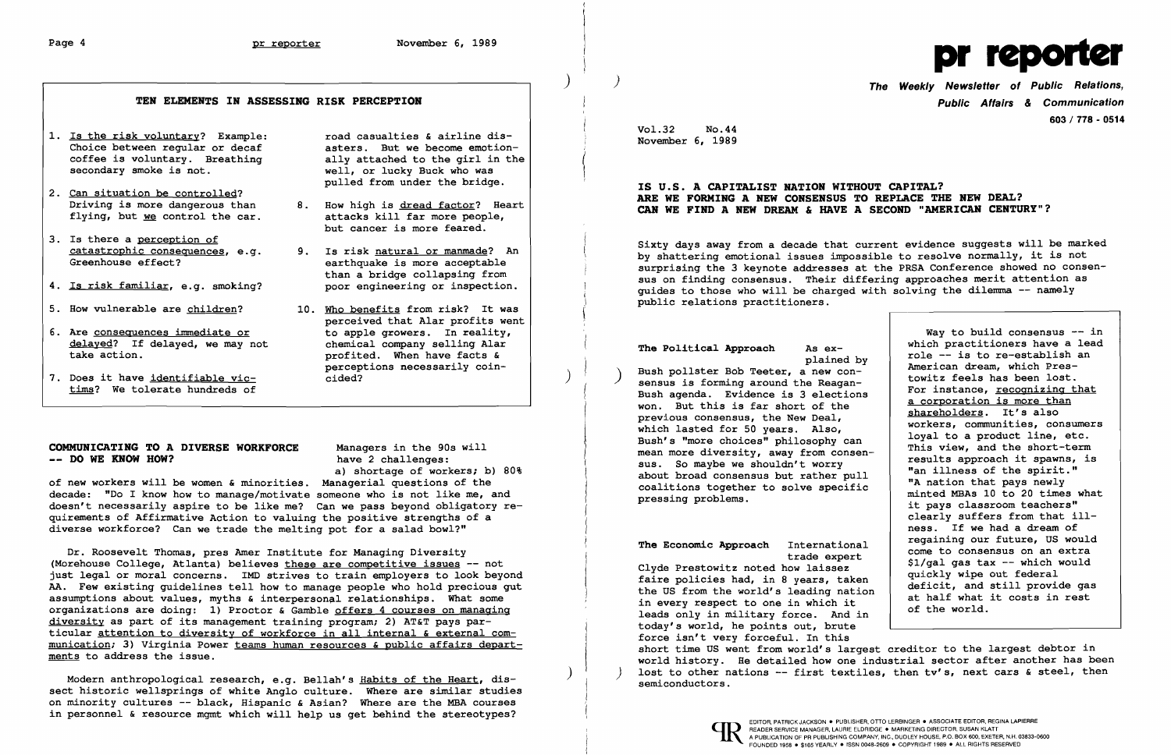

) ) The Weekly Newsletter of Public Relations, 603/778 - 0514

# TEN ELEMENTS IN ASSESSING RISK PERCEPTION Public Affairs & Communication

- Vol. 32 No. 44 1. Is the risk voluntary? Example: road casualties & airline dis-<br>Choice between regular or decaf asters. But we become emotion-<br>Coffee is voluntary. Breathing ally attached to the girl in the coffee is voluntary. Breathing<br>secondary smoke is not.
- 
- 
- 
- 
- 
- 

secondary smoke is not.<br>secondary smoke is not. well, or lucky Buck who was

 $\overline{\phantom{a}}$ 

- but cancer is more feared.
- 
- 5. How vulnerable are <u>children</u>? 10. Who benefits from risk? It was status in the public relations practitioners.<br>perceived that Alar profits went 6. Are <u>consequences immediate or</u> perceived that Alar profits went<br>delayed? If delayed, we may not to apple growers. In reality,<br>chemical company selling Alar

COMMUNICATING TO A DIVERSE WORKFORCE Managers in the 90s will<br>-- DO WE KNOW HOW? and the summary of new workers will be women & minorities. Managerial questions of the<br>decade: "Do I know how to manage/motivate someone who quirements of Affirmative Action to valuing the positive strengths of a diverse workforce? Can we trade the melting pot for a salad bowl?"

# pulled from under the bridge. IS U.S. A CAPITALIST NATION WITHOUT CAPITAL? 2. Can situation be controlled? ARE WE FORMING A NEW CONSENSUS TO REPLACE THE NEW DEAL? Driving is more dangerous than 8. How high is dread factor? Heart CAR WE FIND A NEW DREAM & HAVE A SECOND "AMERICAN CENTURY"? flying, but we control the car. attacks kill far more people,

3. Is there a <u>perception of</u><br>
catastrophic consequences, e.g. 9. Is risk natural or manmade? An<br>
Greenhouse effect?<br>
4. Is risk familiar, e.g. smoking? poor engineering or inspection.<br>
4. Is risk familiar, e.g. smoking? p sus on finding consensus. Their differing approaches merit attention as quides to those who will be charged with solving the dilemma -- namely public relations practitioners.

Modern anthropological research, e.g. Bellah's Habits of the Heart, dissect historic wellsprings of white Anglo culture. Where are similar studies on minority cultures -- black, Hispanic & Asian? Where are the MBA courses in personnel & resource mgmt which will help us get behind the stereotypes?

delayed? If delayed, we may not<br>take action.<br>The Political Approach as ex-<br>profited. When have facts &<br>perceptions necessarily coin-<br>The Political Approach as ex-<br>plained by<br>perceptions necessarily coin-<br>time? We tolerate Bush agenda. Evidence is 3 elections<br>won. But this is far short of the previous consensus, the New Deal, which lasted for 50 years. Also,<br>Bush's "more choices" philosophy can COMMUNICATING TO A DIVERSE WORKFORCE Managers in the 90s will some and the mean more diversity, away from consen-<br>-- DO WE KNOW HOW? have 2 challenges: The Economic Approach International trade expert Clyde Prestowitz noted how laissez faire policies had, in 8 years, taken the US from the world's leading nation in every respect to one in which it leads only in military force. And in Way to build consensus -- in which practitioners have a lead role -- is to re-establish an American dream, which Prestowitz feels has been lost. For instance, recognizing that a corporation is more than shareholders. It's also workers, communities, consumers loyal to a product line, etc. This view, and the short-term results approach it spawns, is "an illness of the spirit." "A nation that pays newly minted MBAs 10 to 20 times what it pays classroom teachers" clearly suffers from that illness. If we had a dream of regaining our future, US would come to consensus on an extra \$1/gal gas tax -- which would quickly wipe out federal deficit, and still provide gas at half what it costs in rest of the world.

Dr. Roosevelt Thomas, pres Amer Institute for Managing Diversity (Morehouse College, Atlanta) believes these are competitive issues -- not just legal or moral concerns. IMD strives to train employers to look beyond AA. Few existing guidelines tell how to manage people who hold precious gut assumptions about values, myths & interpersonal relationships. What some organizations are doing: 1) Proctor & Gamble offers 4 courses on managing diversity as part of its management training program; 2) AT&T pays particular attention to diversity of workforce in all internal & external communication; 3) Virginia Power teams human resources & public affairs departments to address the issue.

today's world, he points out, brute force isn't very forceful. In this short time US went from world's largest creditor to the largest debtor in world history. He detailed how one industrial sector after another has been lost to other nations  $-$ - first textiles, then tv's, next cars & steel, then semiconductors.